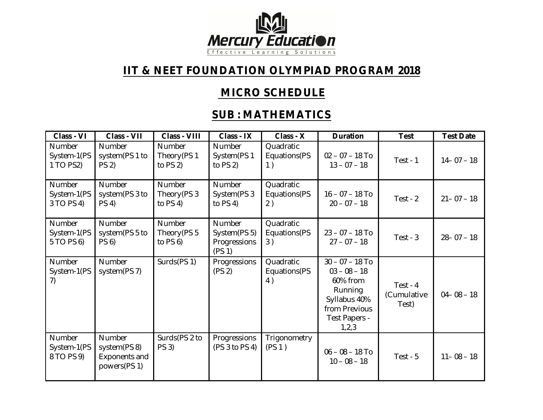

## **IIT & NEET FOUNDATION OLYMPIAD PROGRAM 2018**

## **MICRO SCHEDULE**

## **SUB : MATHEMATICS**

| Class - VI                                 | <b>Class - VII</b>                                       | Class - VIII                                | Class - IX                                               | Class - X                        | <b>Duration</b>                                                                                                         | <b>Test</b>                        | <b>Test Date</b> |
|--------------------------------------------|----------------------------------------------------------|---------------------------------------------|----------------------------------------------------------|----------------------------------|-------------------------------------------------------------------------------------------------------------------------|------------------------------------|------------------|
| <b>Number</b><br>System-1(PS<br>1 TO PS2)  | <b>Number</b><br>system(PS 1 to<br>PS 2)                 | Number<br>Theory(PS 1<br>to $PS$ 2)         | <b>Number</b><br>System(PS 1<br>to $PS$ 2)               | Quadratic<br>Equations (PS<br>1) | $02 - 07 - 18$ To<br>$13 - 07 - 18$                                                                                     | $Test - 1$                         | $14 - 07 - 18$   |
| <b>Number</b><br>System-1(PS<br>3 TO PS 4) | <b>Number</b><br>system(PS 3 to<br>PS 4)                 | <b>Number</b><br>Theory (PS 3<br>to $PS 4)$ | <b>Number</b><br>System(PS 3<br>to $PS 4)$               | Quadratic<br>Equations (PS<br>2) | $16 - 07 - 18$ To<br>$20 - 07 - 18$                                                                                     | Test - $2$                         | $21 - 07 - 18$   |
| Number<br>System-1(PS<br>5 TO PS 6)        | <b>Number</b><br>system(PS 5 to<br>PS 6)                 | <b>Number</b><br>Theory (PS 5<br>to $PS 6)$ | <b>Number</b><br>System (PS 5)<br>Progressions<br>(PS 1) | Quadratic<br>Equations (PS<br>3) | $23 - 07 - 18$ To<br>$27 - 07 - 18$                                                                                     | Test - $3$                         | $28 - 07 - 18$   |
| Number<br>System-1(PS<br>7)                | Number<br>system(PS 7)                                   | Surds(PS 1)                                 | Progressions<br>(PS 2)                                   | Quadratic<br>Equations (PS<br>4) | $30 - 07 - 18$ To<br>$03 - 08 - 18$<br>60% from<br>Running<br>Syllabus 40%<br>from Previous<br>Test Papers -<br>1, 2, 3 | Test - $4$<br>(Cumulative<br>Test) | $04 - 08 - 18$   |
| <b>Number</b><br>System-1(PS<br>8 TO PS 9) | Number<br>system (PS 8)<br>Exponents and<br>powers(PS 1) | Surds(PS 2 to<br>PS 3)                      | Progressions<br>(PS 3 to PS 4)                           | Trigonometry<br>(PS 1)           | $06 - 08 - 18$ To<br>$10 - 08 - 18$                                                                                     | Test - $5$                         | $11 - 08 - 18$   |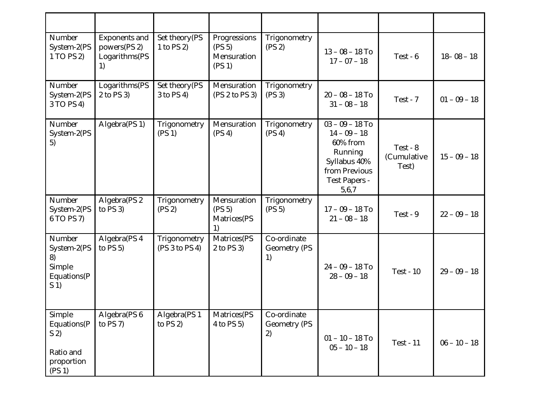| Number<br>System-2(PS<br>1 TO PS 2)                                | Exponents and<br>powers(PS 2)<br>Logarithms(PS<br>1) | Set theory (PS<br>1 to PS 2)   | Progressions<br>(PS 5)<br>Mensuration<br>(PS 1) | Trigonometry<br>(PS 2)            | $13 - 08 - 18$ To<br>$17 - 07 - 18$                                                                                   | Test - 6                         | $18 - 08 - 18$ |
|--------------------------------------------------------------------|------------------------------------------------------|--------------------------------|-------------------------------------------------|-----------------------------------|-----------------------------------------------------------------------------------------------------------------------|----------------------------------|----------------|
| Number<br>System-2(PS<br>3 TO PS 4)                                | Logarithms(PS<br>2 to PS 3)                          | Set theory (PS<br>3 to PS 4)   | Mensuration<br>(PS 2 to PS 3)                   | Trigonometry<br>(PS 3)            | $20 - 08 - 18$ To<br>$31 - 08 - 18$                                                                                   | Test - $7$                       | $01 - 09 - 18$ |
| Number<br>System-2(PS<br>5)                                        | Algebra(PS 1)                                        | Trigonometry<br>(PS 1)         | Mensuration<br>(PS 4)                           | Trigonometry<br>(PS 4)            | $03 - 09 - 18$ To<br>$14 - 09 - 18$<br>60% from<br>Running<br>Syllabus 40%<br>from Previous<br>Test Papers -<br>5,6,7 | Test - 8<br>(Cumulative<br>Test) | $15 - 09 - 18$ |
| Number<br>System-2(PS<br>6 TO PS 7)                                | Algebra(PS 2<br>to $PS 3)$                           | Trigonometry<br>(PS 2)         | Mensuration<br>(PS 5)<br>Matrices(PS<br>1)      | Trigonometry<br>(PS 5)            | $17 - 09 - 18$ To<br>$21 - 08 - 18$                                                                                   | Test - $9$                       | $22 - 09 - 18$ |
| Number<br>System-2(PS<br>8)<br>Simple<br>Equations(P<br>S(1)       | Algebra(PS 4<br>to $PS 5)$                           | Trigonometry<br>(PS 3 to PS 4) | Matrices(PS<br>2 to PS 3)                       | Co-ordinate<br>Geometry (PS<br>1) | $24 - 09 - 18$ To<br>$28 - 09 - 18$                                                                                   | <b>Test - 10</b>                 | $29 - 09 - 18$ |
| Simple<br>Equations(P<br>S(2)<br>Ratio and<br>proportion<br>(PS 1) | Algebra(PS 6<br>to $PS 7$ )                          | Algebra(PS 1<br>to $PS 2)$     | Matrices(PS<br>4 to PS 5)                       | Co-ordinate<br>Geometry (PS<br>2) | $01 - 10 - 18$ To<br>$05 - 10 - 18$                                                                                   | <b>Test - 11</b>                 | $06 - 10 - 18$ |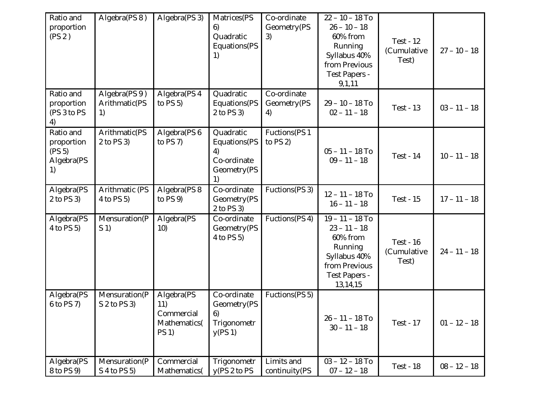| Ratio and<br>proportion<br>(PS 2)                     | Algebra(PS 8)                        | Algebra(PS 3)                                                   | Matrices(PS<br>6)<br>Quadratic<br>Equations(PS<br>1)                | Co-ordinate<br>Geometry(PS<br>3) | $22 - 10 - 18$ To<br>$26 - 10 - 18$<br>60% from<br>Running<br>Syllabus 40%<br>from Previous<br>Test Papers -<br>9,1,11          | <b>Test - 12</b><br>(Cumulative<br>Test) | $27 - 10 - 18$ |
|-------------------------------------------------------|--------------------------------------|-----------------------------------------------------------------|---------------------------------------------------------------------|----------------------------------|---------------------------------------------------------------------------------------------------------------------------------|------------------------------------------|----------------|
| Ratio and<br>proportion<br>(PS 3 to PS<br>4)          | Algebra(PS 9)<br>Arithmatic(PS<br>1) | Algebra(PS 4<br>to $PS 5$ )                                     | Quadratic<br>Equations (PS<br>2 to PS 3)                            | Co-ordinate<br>Geometry(PS<br>4) | $29 - 10 - 18$ To<br>$02 - 11 - 18$                                                                                             | <b>Test - 13</b>                         | $03 - 11 - 18$ |
| Ratio and<br>proportion<br>(PS 5)<br>Algebra(PS<br>1) | Arithmatic(PS<br>2 to PS 3)          | Algebra(PS 6<br>to $PS 7$ )                                     | Quadratic<br>Equations(PS<br>4)<br>Co-ordinate<br>Geometry(PS<br>1) | Fuctions (PS 1<br>to $PS$ 2)     | $05 - 11 - 18$ To<br>$09 - 11 - 18$                                                                                             | <b>Test - 14</b>                         | $10 - 11 - 18$ |
| Algebra(PS<br>2 to PS 3)                              | Arithmatic (PS<br>4 to PS 5)         | Algebra(PS 8<br>to $PS 9$ )                                     | Co-ordinate<br>Geometry(PS<br>2 to PS 3)                            | Fuctions (PS 3)                  | $12 - 11 - 18$ To<br>$16 - 11 - 18$                                                                                             | <b>Test - 15</b>                         | $17 - 11 - 18$ |
| Algebra(PS<br>4 to PS 5)                              | Mensuration(P<br>S(1)                | Algebra(PS<br>10)                                               | Co-ordinate<br>Geometry(PS<br>4 to PS 5)                            | Fuctions (PS 4)                  | $19 - 11 - 18$ To<br>$23 - 11 - 18$<br>60% from<br>Running<br>Syllabus 40%<br>from Previous<br><b>Test Papers -</b><br>13,14,15 | <b>Test - 16</b><br>(Cumulative<br>Test) | $24 - 11 - 18$ |
| Algebra(PS<br>6 to PS 7)                              | Mensuration(P<br>S 2 to PS 3)        | Algebra(PS<br>11)<br>Commercial<br>Mathematics(<br><b>PS 1)</b> | Co-ordinate<br>Geometry(PS<br>6)<br>Trigonometr<br>y(PS 1)          | Fuctions (PS 5)                  | $26 - 11 - 18$ To<br>$30 - 11 - 18$                                                                                             | <b>Test - 17</b>                         | $01 - 12 - 18$ |
| Algebra(PS<br>8 to PS 9)                              | Mensuration(P<br>S 4 to PS 5)        | Commercial<br>Mathematics(                                      | Trigonometr<br>y(PS 2 to PS                                         | Limits and<br>continuity(PS      | $03 - 12 - 18$ To<br>$07 - 12 - 18$                                                                                             | <b>Test - 18</b>                         | $08 - 12 - 18$ |